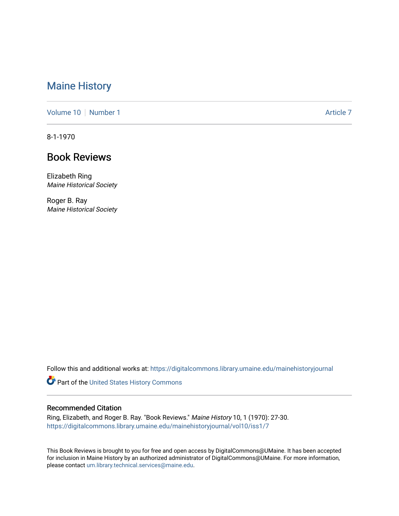## [Maine History](https://digitalcommons.library.umaine.edu/mainehistoryjournal)

[Volume 10](https://digitalcommons.library.umaine.edu/mainehistoryjournal/vol10) [Number 1](https://digitalcommons.library.umaine.edu/mainehistoryjournal/vol10/iss1) Article 7

8-1-1970

## Book Reviews

Elizabeth Ring Maine Historical Society

Roger B. Ray Maine Historical Society

Follow this and additional works at: [https://digitalcommons.library.umaine.edu/mainehistoryjournal](https://digitalcommons.library.umaine.edu/mainehistoryjournal?utm_source=digitalcommons.library.umaine.edu%2Fmainehistoryjournal%2Fvol10%2Fiss1%2F7&utm_medium=PDF&utm_campaign=PDFCoverPages) 

Part of the [United States History Commons](http://network.bepress.com/hgg/discipline/495?utm_source=digitalcommons.library.umaine.edu%2Fmainehistoryjournal%2Fvol10%2Fiss1%2F7&utm_medium=PDF&utm_campaign=PDFCoverPages) 

## Recommended Citation

Ring, Elizabeth, and Roger B. Ray. "Book Reviews." Maine History 10, 1 (1970): 27-30. [https://digitalcommons.library.umaine.edu/mainehistoryjournal/vol10/iss1/7](https://digitalcommons.library.umaine.edu/mainehistoryjournal/vol10/iss1/7?utm_source=digitalcommons.library.umaine.edu%2Fmainehistoryjournal%2Fvol10%2Fiss1%2F7&utm_medium=PDF&utm_campaign=PDFCoverPages)

This Book Reviews is brought to you for free and open access by DigitalCommons@UMaine. It has been accepted for inclusion in Maine History by an authorized administrator of DigitalCommons@UMaine. For more information, please contact [um.library.technical.services@maine.edu.](mailto:um.library.technical.services@maine.edu)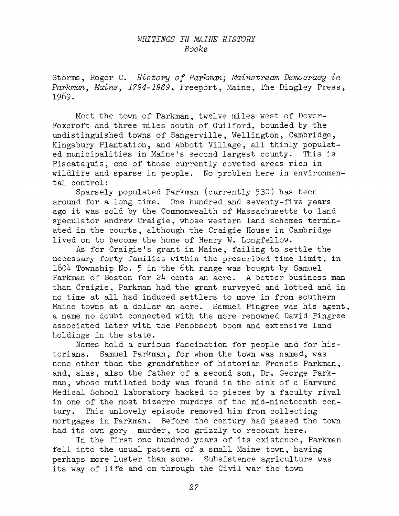## *WRITINGS IN MAINE HISTORY Books*

Storms, Roger C. *History of Parkman; Mainstream Democracy in Parkman<sup>&</sup>gt; Maine1794-1969 \** Freeport, Maine, The Dingley Press, 1969.

Meet the town of Parkman, twelve miles west of Dover-Foxcroft and three miles south of Guilford, bounded by the undistinguished towns of Sangerville, Wellington, Cambridge, Kingsbury Plantation, and Abbott Village, all thinly populated municipalities in Maine'<sup>s</sup> second largest county. This is Piscataquis, one of those currently coveted areas rich in wildlife and sparse in people. No problem here in environmental control:

Sparsely populated Parkman (currently 530) has been around for a long time. One hundred and seventy-five years ago it was sold by the Commonwealth of Massachusetts to land speculator Andrew Craigie, whose western land schemes terminated in the courts, although the Craigie House in Cambridge lived on to become the home of Henry W. Longfellow.

As for Craigie'<sup>s</sup> grant in Maine, failing to settle the necessary forty families within the prescribed time limit, in  $1804$  Township No. 5 in the 6th range was bought by Samuel Parkman of Boston for 24 cents an acre. A better business man than Craigie, Parkman had the grant surveyed and lotted and in no time at all had induced settlers to move in from southern Maine towns at a dollar an acre. Samuel Pingree was his agent, a name no doubt connected with the more renowned David Pingree associated later with the Penobscot boom and extensive land holdings in the state.

Names hold a curious fascination for people and for historians. Samuel Parkman, for whom the town was named, was none other than the grandfather of historian Francis Parkman, and, alas, also the father of <sup>a</sup> second son, Dr. George Parkman, whose mutilated body was found in the sink of a Harvard Medical School laboratory hacked to pieces by <sup>a</sup> faculty rival in one of the most bizarre murders of the mid-nineteenth century. This unlovely episode removed him from collecting mortgages in Parkman. Before the century had passed the town had its own gory murder, too grizzly to recount here.

In the first one hundred years of its existence, Parkman fell into the usual pattern of <sup>a</sup> small Maine town, having perhaps more luster than some. Subsistence agriculture was its way of life and on through the Civil war the town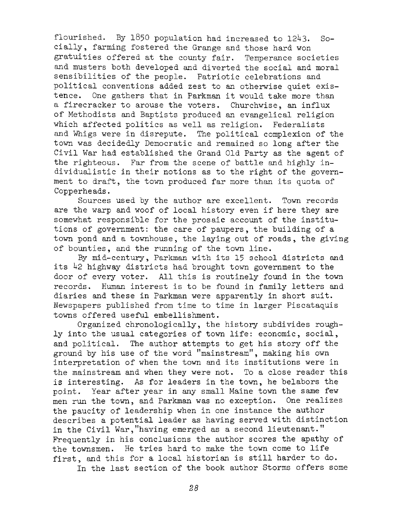flourished. By 1850 population had increased to 1243. Socially, farming fostered the Grange and those hard won gratuities offered at the county fair. Temperance societies and musters both developed and diverted the social and moral sensibilities of the people. Patriotic celebrations and political conventions added zest to an otherwise quiet existence. One gathers that in Parkman it would take more than a firecracker to arouse the voters. Churchwise, an influx of Methodists and Baptists produced an evangelical religion which affected politics as well as religion. Federalists and Whigs were in disrepute. The political complexion of the town was decidedly Democratic and remained so long after the Civil War had established the Grand Old Party as the agent of the righteous. Far from the scene of battle and highly individualistic in their notions as to the right of the government to draft, the town produced far more than its quota of Copperheads.

Sources used by the author are excellent. Town records are the warp and woof of local history even if here they are somewhat responsible for the prosaic account of the institutions of government: the care of paupers, the building of <sup>a</sup> town pond and <sup>a</sup> townhouse, the laying out of roads, the giving of bounties, and the running of the town line.

By mid-century, Parkman with its <sup>15</sup> school districts and its <sup>42</sup> highway districts had brought town government to the door of every voter. All this is routinely found in the town records. Human interest is to be found in family letters and diaries and these in Parkman were apparently in short suit. Newspapers published from time to time in larger Piscataquis towns offered useful embellishment.

Organized chronologically, the history subdivides roughly into the usual categories of town life: economic, social, and political. The author attempts to get his story off the ground by his use of the word "mainstream", making his own interpretation of when the town and its institutions were in the mainstream and when they were not. To a close reader this is interesting. As for leaders in the town, he belabors the point. Year after year in any small Maine town the same few men run the town, and Parkman was no exception. One realizes the paucity of leadership when in one instance the author describes a potential leader as having served with distinction in the Civil War,"having emerged as <sup>a</sup> second lieutenant." Frequently in his conclusions the author scores the apathy of the townsmen. He tries hard to make the town come to life first, and this for <sup>a</sup> local historian is still harder to do.

In the last section of the book author Storms offers some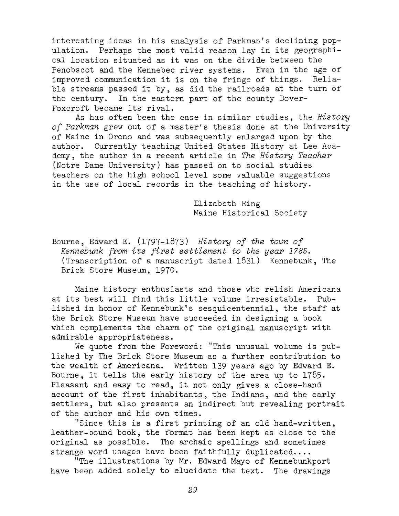interesting ideas in his analysis of Parkman'<sup>s</sup> declining population. Perhaps the most valid reason lay in its geographical location situated as it was on the divide between the Penobscot and the Kennebec river systems. Even in the age of improved communication it is on the fringe of things. Reliable streams passed it by, as did the railroads at the turn of the century. In the eastern part of the county Dover-Foxcroft became its rival.

As has often been the case in similar studies, the *History of Parkman* grew out of <sup>a</sup> master's thesis done at the University of Maine in Orono and was subsequently enlarged upon by the author. Currently teaching United States History at Lee Academy, the author in <sup>a</sup> recent article in *The History Teacher* (Notre Dame University) has passed on to social studies teachers on the high school level some valuable suggestions in the use of local records in the teaching of history.

> Elizabeth Ring Maine Historical Society

Bourne, Edward E. (1797-1873) *History of the town of Kennebunk from its first settlement to the year 1785.* (Transcription of <sup>a</sup> manuscript dated 1831) Kennebunk, The Brick Store Museum, 1970.

Maine history enthusiasts and those who relish Americana at its best will find this little volume irresistable. Published in honor of Kennebunk'<sup>s</sup> sesquicentennial, the staff at the Brick Store Museum have succeeded in designing a book which complements the charm of the original manuscript with admirable appropriateness.

We quote from the Foreword: "This unusual volume is published by The Brick Store Museum as a further contribution to the wealth of Americana. Written <sup>139</sup> years ago by Edward E. Bourne, it tells the early history of the area up to  $1785.$ Pleasant and easy to read, it not only gives <sup>a</sup> close-hand account of the first inhabitants, the Indians, and the early settlers, but also presents an indirect but revealing portrait of the author and his own times.

''Since this is <sup>a</sup> first printing of an old hand-written, leather-bound book, the format has been kept as close to the original as possible. The archaic spellings and sometimes strange word usages have been faithfully duplicated....

''The illustrations by Mr. Edward Mayo of Kennebunkport have been added solely to elucidate the text. The drawings